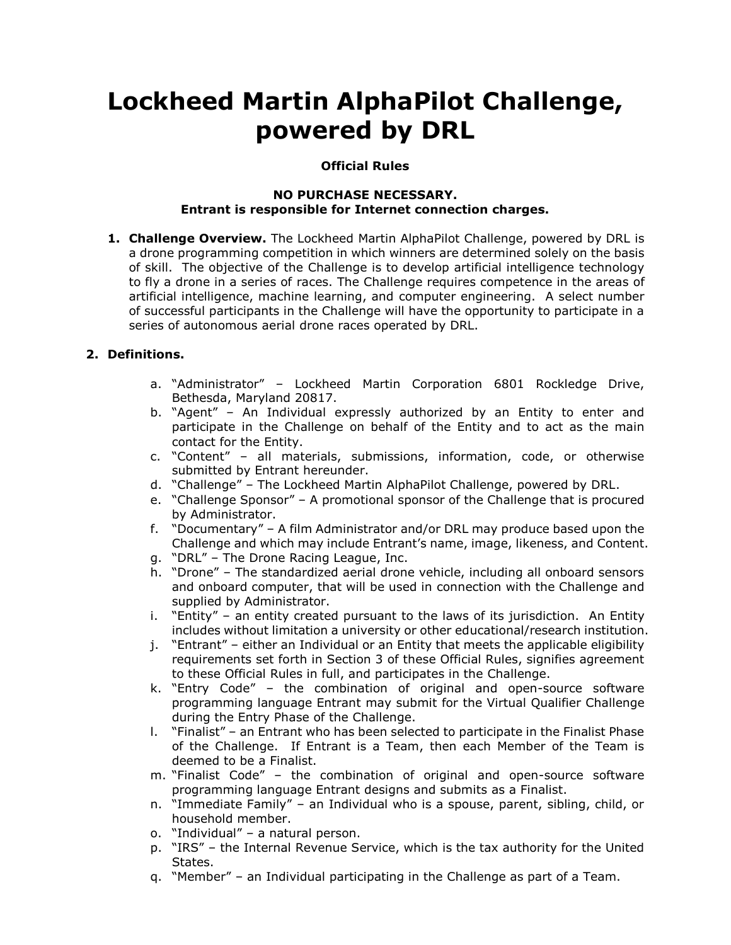# **Lockheed Martin AlphaPilot Challenge, powered by DRL**

## **Official Rules**

#### **NO PURCHASE NECESSARY. Entrant is responsible for Internet connection charges.**

**1. Challenge Overview.** The Lockheed Martin AlphaPilot Challenge, powered by DRL is a drone programming competition in which winners are determined solely on the basis of skill. The objective of the Challenge is to develop artificial intelligence technology to fly a drone in a series of races. The Challenge requires competence in the areas of artificial intelligence, machine learning, and computer engineering. A select number of successful participants in the Challenge will have the opportunity to participate in a series of autonomous aerial drone races operated by DRL.

## **2. Definitions.**

- a. "Administrator" Lockheed Martin Corporation 6801 Rockledge Drive, Bethesda, Maryland 20817.
- b. "Agent" An Individual expressly authorized by an Entity to enter and participate in the Challenge on behalf of the Entity and to act as the main contact for the Entity.
- c. "Content" all materials, submissions, information, code, or otherwise submitted by Entrant hereunder.
- d. "Challenge" The Lockheed Martin AlphaPilot Challenge, powered by DRL.
- e. "Challenge Sponsor" A promotional sponsor of the Challenge that is procured by Administrator.
- f. "Documentary" A film Administrator and/or DRL may produce based upon the Challenge and which may include Entrant's name, image, likeness, and Content.
- g. "DRL" The Drone Racing League, Inc.
- h. "Drone" The standardized aerial drone vehicle, including all onboard sensors and onboard computer, that will be used in connection with the Challenge and supplied by Administrator.
- i. "Entity" an entity created pursuant to the laws of its jurisdiction. An Entity includes without limitation a university or other educational/research institution.
- j. "Entrant" either an Individual or an Entity that meets the applicable eligibility requirements set forth in Section 3 of these Official Rules, signifies agreement to these Official Rules in full, and participates in the Challenge.
- k. "Entry Code" the combination of original and open-source software programming language Entrant may submit for the Virtual Qualifier Challenge during the Entry Phase of the Challenge.
- l. "Finalist" an Entrant who has been selected to participate in the Finalist Phase of the Challenge. If Entrant is a Team, then each Member of the Team is deemed to be a Finalist.
- m. "Finalist Code" the combination of original and open-source software programming language Entrant designs and submits as a Finalist.
- n. "Immediate Family" an Individual who is a spouse, parent, sibling, child, or household member.
- o. "Individual" a natural person.
- p. "IRS" the Internal Revenue Service, which is the tax authority for the United States.
- q. "Member" an Individual participating in the Challenge as part of a Team.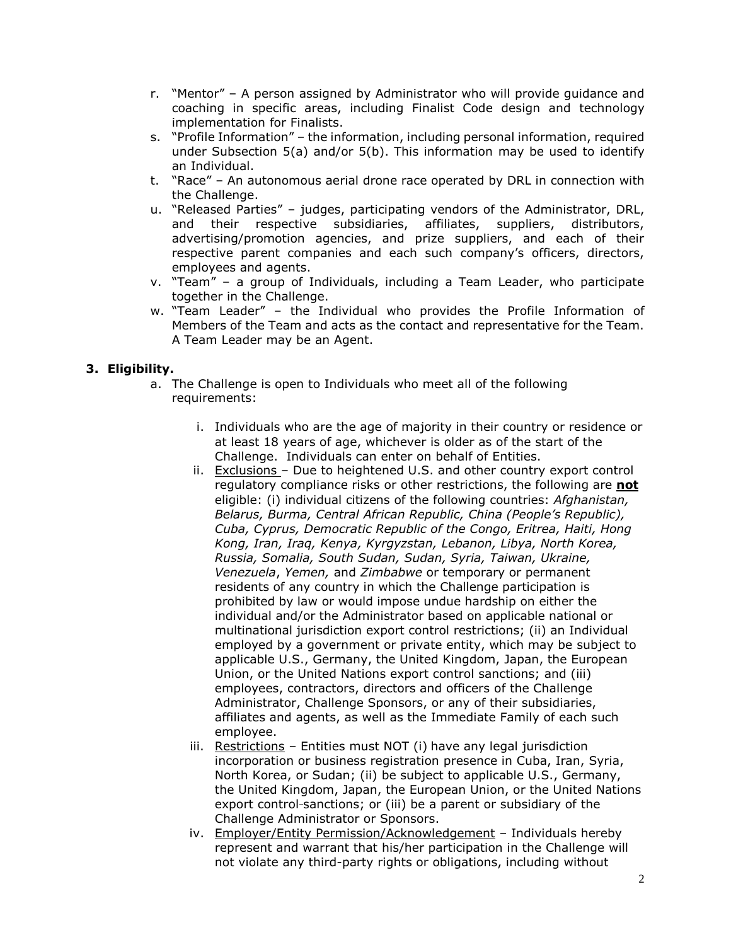- r. "Mentor" A person assigned by Administrator who will provide guidance and coaching in specific areas, including Finalist Code design and technology implementation for Finalists.
- s. "Profile Information" the information, including personal information, required under Subsection 5(a) and/or 5(b). This information may be used to identify an Individual.
- t. "Race" An autonomous aerial drone race operated by DRL in connection with the Challenge.
- u. "Released Parties" judges, participating vendors of the Administrator, DRL, and their respective subsidiaries, affiliates, suppliers, distributors, advertising/promotion agencies, and prize suppliers, and each of their respective parent companies and each such company's officers, directors, employees and agents.
- v. "Team" a group of Individuals, including a Team Leader, who participate together in the Challenge.
- w. "Team Leader" the Individual who provides the Profile Information of Members of the Team and acts as the contact and representative for the Team. A Team Leader may be an Agent.

## **3. Eligibility.**

- a. The Challenge is open to Individuals who meet all of the following requirements:
	- i. Individuals who are the age of majority in their country or residence or at least 18 years of age, whichever is older as of the start of the Challenge. Individuals can enter on behalf of Entities.
	- ii. Exclusions Due to heightened U.S. and other country export control regulatory compliance risks or other restrictions, the following are **not** eligible: (i) individual citizens of the following countries: *Afghanistan, Belarus, Burma, Central African Republic, China (People's Republic), Cuba, Cyprus, Democratic Republic of the Congo, Eritrea, Haiti, Hong Kong, Iran, Iraq, Kenya, Kyrgyzstan, Lebanon, Libya, North Korea, Russia, Somalia, South Sudan, Sudan, Syria, Taiwan, Ukraine, Venezuela*, *Yemen,* and *Zimbabwe* or temporary or permanent residents of any country in which the Challenge participation is prohibited by law or would impose undue hardship on either the individual and/or the Administrator based on applicable national or multinational jurisdiction export control restrictions; (ii) an Individual employed by a government or private entity, which may be subject to applicable U.S., Germany, the United Kingdom, Japan, the European Union, or the United Nations export control sanctions; and (iii) employees, contractors, directors and officers of the Challenge Administrator, Challenge Sponsors, or any of their subsidiaries, affiliates and agents, as well as the Immediate Family of each such employee.
	- iii. Restrictions Entities must NOT (i) have any legal jurisdiction incorporation or business registration presence in Cuba, Iran, Syria, North Korea, or Sudan; (ii) be subject to applicable U.S., Germany, the United Kingdom, Japan, the European Union, or the United Nations export control-sanctions; or (iii) be a parent or subsidiary of the Challenge Administrator or Sponsors.
	- iv. Employer/Entity Permission/Acknowledgement Individuals hereby represent and warrant that his/her participation in the Challenge will not violate any third-party rights or obligations, including without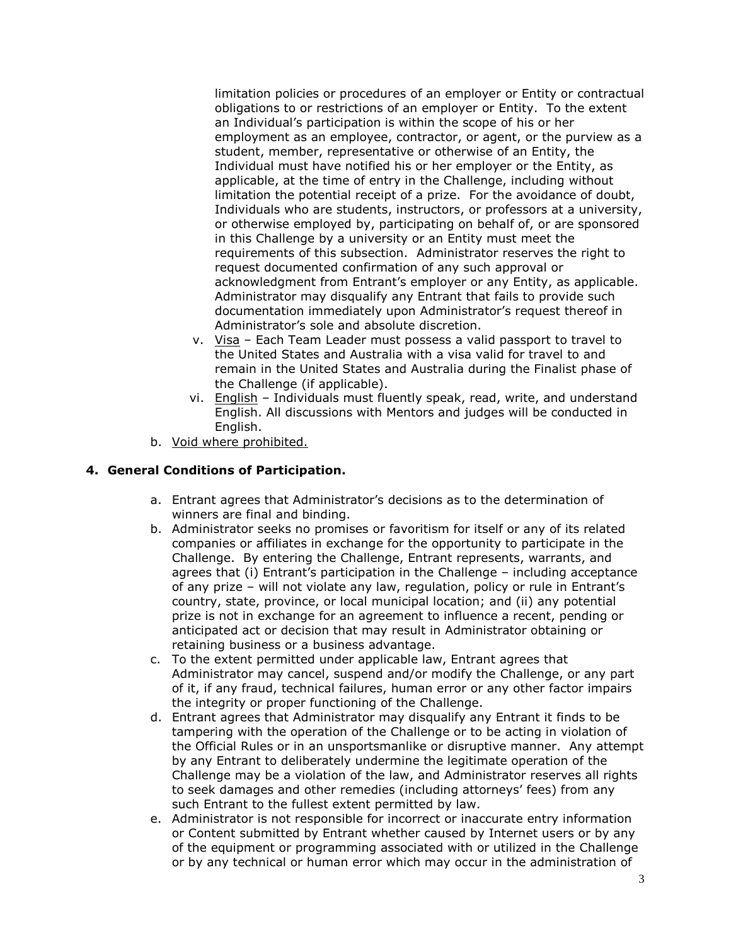limitation policies or procedures of an employer or Entity or contractual obligations to or restrictions of an employer or Entity. To the extent an Individual's participation is within the scope of his or her employment as an employee, contractor, or agent, or the purview as a student, member, representative or otherwise of an Entity, the Individual must have notified his or her employer or the Entity, as applicable, at the time of entry in the Challenge, including without limitation the potential receipt of a prize. For the avoidance of doubt, Individuals who are students, instructors, or professors at a university, or otherwise employed by, participating on behalf of, or are sponsored in this Challenge by a university or an Entity must meet the requirements of this subsection. Administrator reserves the right to request documented confirmation of any such approval or acknowledgment from Entrant's employer or any Entity, as applicable. Administrator may disqualify any Entrant that fails to provide such documentation immediately upon Administrator's request thereof in Administrator's sole and absolute discretion.

- v. Visa Each Team Leader must possess a valid passport to travel to the United States and Australia with a visa valid for travel to and remain in the United States and Australia during the Finalist phase of the Challenge (if applicable).
- vi. English Individuals must fluently speak, read, write, and understand English. All discussions with Mentors and judges will be conducted in English.
- b. Void where prohibited.

## **4. General Conditions of Participation.**

- a. Entrant agrees that Administrator's decisions as to the determination of winners are final and binding.
- b. Administrator seeks no promises or favoritism for itself or any of its related companies or affiliates in exchange for the opportunity to participate in the Challenge. By entering the Challenge, Entrant represents, warrants, and agrees that (i) Entrant's participation in the Challenge – including acceptance of any prize – will not violate any law, regulation, policy or rule in Entrant's country, state, province, or local municipal location; and (ii) any potential prize is not in exchange for an agreement to influence a recent, pending or anticipated act or decision that may result in Administrator obtaining or retaining business or a business advantage.
- c. To the extent permitted under applicable law, Entrant agrees that Administrator may cancel, suspend and/or modify the Challenge, or any part of it, if any fraud, technical failures, human error or any other factor impairs the integrity or proper functioning of the Challenge.
- d. Entrant agrees that Administrator may disqualify any Entrant it finds to be tampering with the operation of the Challenge or to be acting in violation of the Official Rules or in an unsportsmanlike or disruptive manner. Any attempt by any Entrant to deliberately undermine the legitimate operation of the Challenge may be a violation of the law, and Administrator reserves all rights to seek damages and other remedies (including attorneys' fees) from any such Entrant to the fullest extent permitted by law.
- e. Administrator is not responsible for incorrect or inaccurate entry information or Content submitted by Entrant whether caused by Internet users or by any of the equipment or programming associated with or utilized in the Challenge or by any technical or human error which may occur in the administration of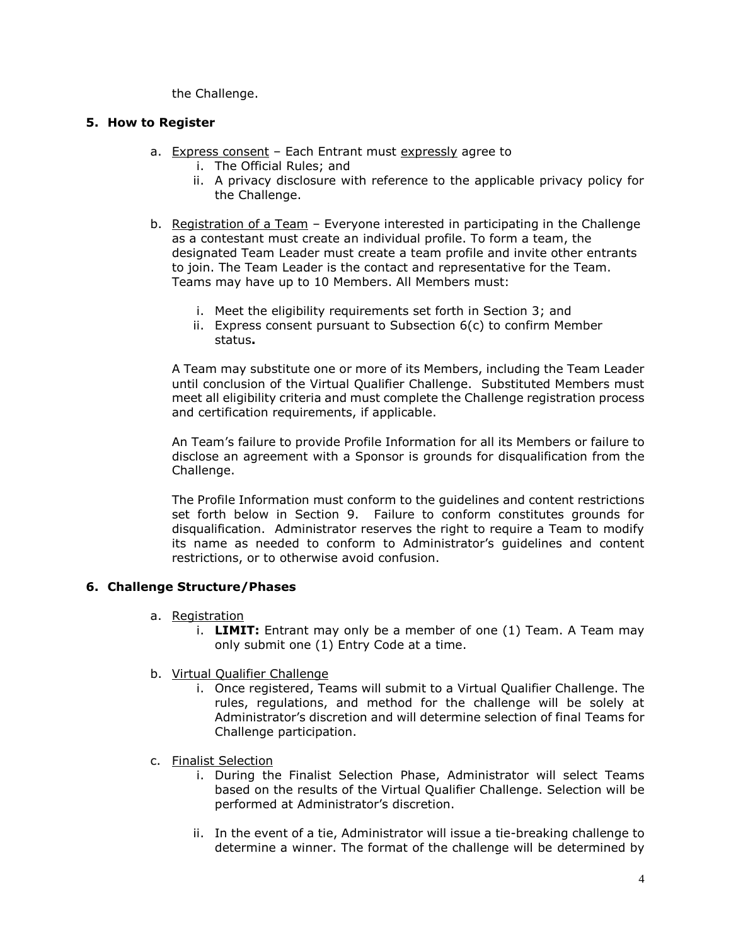the Challenge.

#### **5. How to Register**

- a. Express consent Each Entrant must expressly agree to
	- i. The Official Rules; and
	- ii. A privacy disclosure with reference to the applicable privacy policy for the Challenge.
- b. Registration of a Team Everyone interested in participating in the Challenge as a contestant must create an individual profile. To form a team, the designated Team Leader must create a team profile and invite other entrants to join. The Team Leader is the contact and representative for the Team. Teams may have up to 10 Members. All Members must:
	- i. Meet the eligibility requirements set forth in Section 3; and
	- ii. Express consent pursuant to Subsection 6(c) to confirm Member status**.**

A Team may substitute one or more of its Members, including the Team Leader until conclusion of the Virtual Qualifier Challenge. Substituted Members must meet all eligibility criteria and must complete the Challenge registration process and certification requirements, if applicable.

An Team's failure to provide Profile Information for all its Members or failure to disclose an agreement with a Sponsor is grounds for disqualification from the Challenge.

The Profile Information must conform to the guidelines and content restrictions set forth below in Section 9. Failure to conform constitutes grounds for disqualification. Administrator reserves the right to require a Team to modify its name as needed to conform to Administrator's guidelines and content restrictions, or to otherwise avoid confusion.

## **6. Challenge Structure/Phases**

- a. Registration
	- i. **LIMIT:** Entrant may only be a member of one (1) Team. A Team may only submit one (1) Entry Code at a time.
- b. Virtual Qualifier Challenge
	- i. Once registered, Teams will submit to a Virtual Qualifier Challenge. The rules, regulations, and method for the challenge will be solely at Administrator's discretion and will determine selection of final Teams for Challenge participation.
- c. Finalist Selection
	- i. During the Finalist Selection Phase, Administrator will select Teams based on the results of the Virtual Qualifier Challenge. Selection will be performed at Administrator's discretion.
	- ii. In the event of a tie, Administrator will issue a tie-breaking challenge to determine a winner. The format of the challenge will be determined by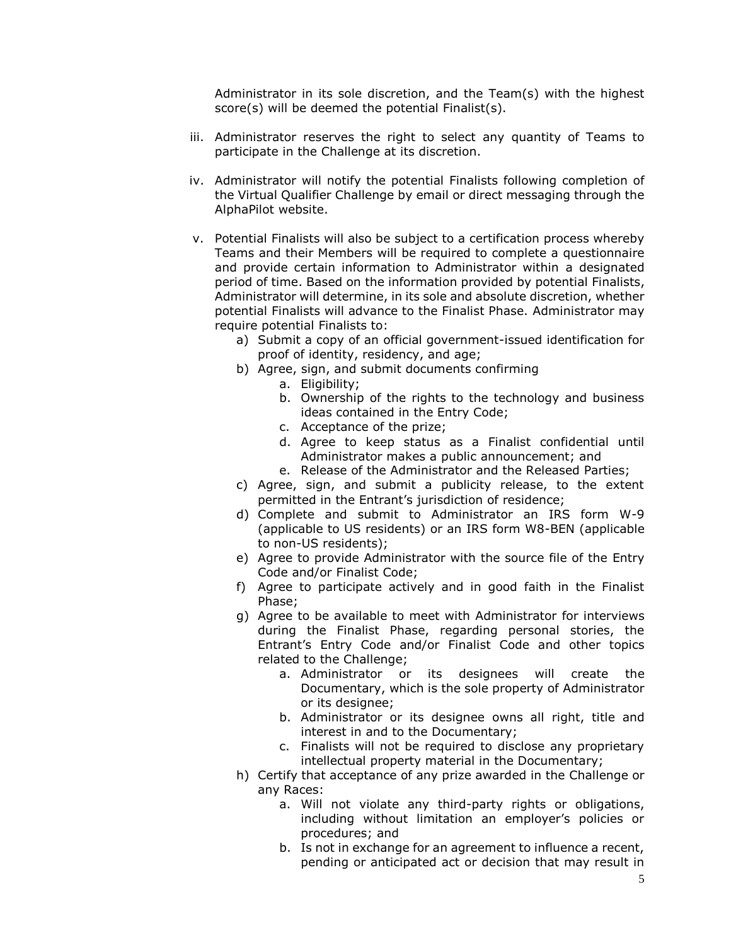Administrator in its sole discretion, and the Team(s) with the highest score(s) will be deemed the potential Finalist(s).

- iii. Administrator reserves the right to select any quantity of Teams to participate in the Challenge at its discretion.
- iv. Administrator will notify the potential Finalists following completion of the Virtual Qualifier Challenge by email or direct messaging through the AlphaPilot website.
- v. Potential Finalists will also be subject to a certification process whereby Teams and their Members will be required to complete a questionnaire and provide certain information to Administrator within a designated period of time. Based on the information provided by potential Finalists, Administrator will determine, in its sole and absolute discretion, whether potential Finalists will advance to the Finalist Phase. Administrator may require potential Finalists to:
	- a) Submit a copy of an official government-issued identification for proof of identity, residency, and age;
	- b) Agree, sign, and submit documents confirming
		- a. Eligibility;
		- b. Ownership of the rights to the technology and business ideas contained in the Entry Code;
		- c. Acceptance of the prize;
		- d. Agree to keep status as a Finalist confidential until Administrator makes a public announcement; and
		- e. Release of the Administrator and the Released Parties;
	- c) Agree, sign, and submit a publicity release, to the extent permitted in the Entrant's jurisdiction of residence;
	- d) Complete and submit to Administrator an IRS form W-9 (applicable to US residents) or an IRS form W8-BEN (applicable to non-US residents);
	- e) Agree to provide Administrator with the source file of the Entry Code and/or Finalist Code;
	- f) Agree to participate actively and in good faith in the Finalist Phase;
	- g) Agree to be available to meet with Administrator for interviews during the Finalist Phase, regarding personal stories, the Entrant's Entry Code and/or Finalist Code and other topics related to the Challenge;
		- a. Administrator or its designees will create the Documentary, which is the sole property of Administrator or its designee;
		- b. Administrator or its designee owns all right, title and interest in and to the Documentary;
		- c. Finalists will not be required to disclose any proprietary intellectual property material in the Documentary;
	- h) Certify that acceptance of any prize awarded in the Challenge or any Races:
		- a. Will not violate any third-party rights or obligations, including without limitation an employer's policies or procedures; and
		- b. Is not in exchange for an agreement to influence a recent, pending or anticipated act or decision that may result in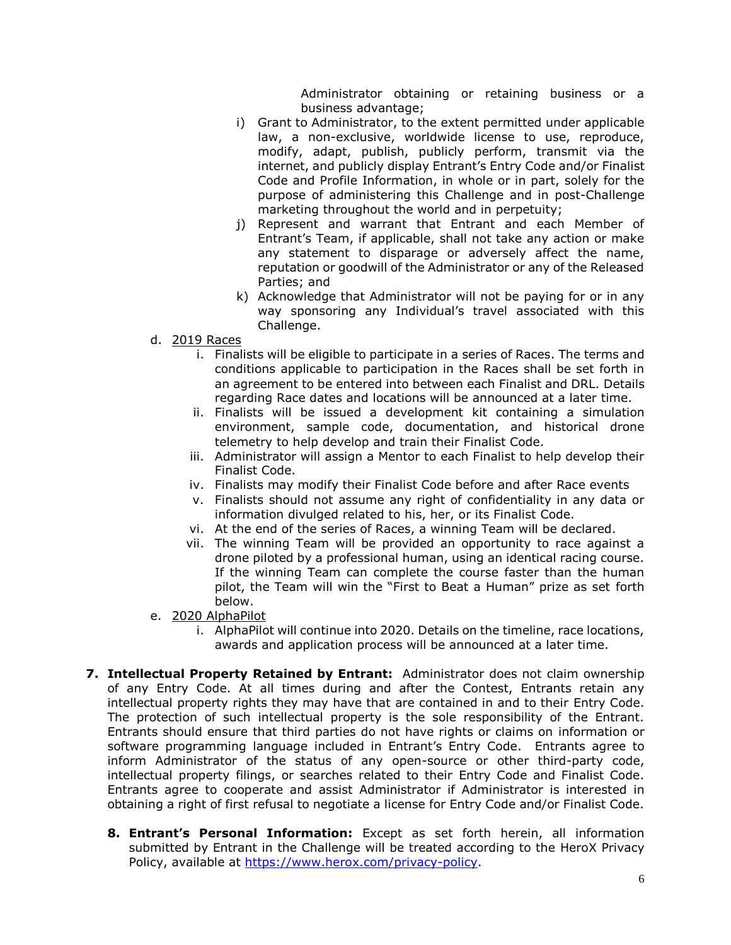Administrator obtaining or retaining business or a business advantage;

- i) Grant to Administrator, to the extent permitted under applicable law, a non-exclusive, worldwide license to use, reproduce, modify, adapt, publish, publicly perform, transmit via the internet, and publicly display Entrant's Entry Code and/or Finalist Code and Profile Information, in whole or in part, solely for the purpose of administering this Challenge and in post-Challenge marketing throughout the world and in perpetuity;
- j) Represent and warrant that Entrant and each Member of Entrant's Team, if applicable, shall not take any action or make any statement to disparage or adversely affect the name, reputation or goodwill of the Administrator or any of the Released Parties; and
- k) Acknowledge that Administrator will not be paying for or in any way sponsoring any Individual's travel associated with this Challenge.
- d. 2019 Races
	- i. Finalists will be eligible to participate in a series of Races. The terms and conditions applicable to participation in the Races shall be set forth in an agreement to be entered into between each Finalist and DRL. Details regarding Race dates and locations will be announced at a later time.
	- ii. Finalists will be issued a development kit containing a simulation environment, sample code, documentation, and historical drone telemetry to help develop and train their Finalist Code.
	- iii. Administrator will assign a Mentor to each Finalist to help develop their Finalist Code.
	- iv. Finalists may modify their Finalist Code before and after Race events
	- v. Finalists should not assume any right of confidentiality in any data or information divulged related to his, her, or its Finalist Code.
	- vi. At the end of the series of Races, a winning Team will be declared.
	- vii. The winning Team will be provided an opportunity to race against a drone piloted by a professional human, using an identical racing course. If the winning Team can complete the course faster than the human pilot, the Team will win the "First to Beat a Human" prize as set forth below.
- e. 2020 AlphaPilot
	- i. AlphaPilot will continue into 2020. Details on the timeline, race locations, awards and application process will be announced at a later time.
- **7. Intellectual Property Retained by Entrant:** Administrator does not claim ownership of any Entry Code. At all times during and after the Contest, Entrants retain any intellectual property rights they may have that are contained in and to their Entry Code. The protection of such intellectual property is the sole responsibility of the Entrant. Entrants should ensure that third parties do not have rights or claims on information or software programming language included in Entrant's Entry Code. Entrants agree to inform Administrator of the status of any open-source or other third-party code, intellectual property filings, or searches related to their Entry Code and Finalist Code. Entrants agree to cooperate and assist Administrator if Administrator is interested in obtaining a right of first refusal to negotiate a license for Entry Code and/or Finalist Code.
	- **8. Entrant's Personal Information:** Except as set forth herein, all information submitted by Entrant in the Challenge will be treated according to the HeroX Privacy Policy, available at [https://www.herox.com/privacy-policy.](https://www.herox.com/privacy-policy)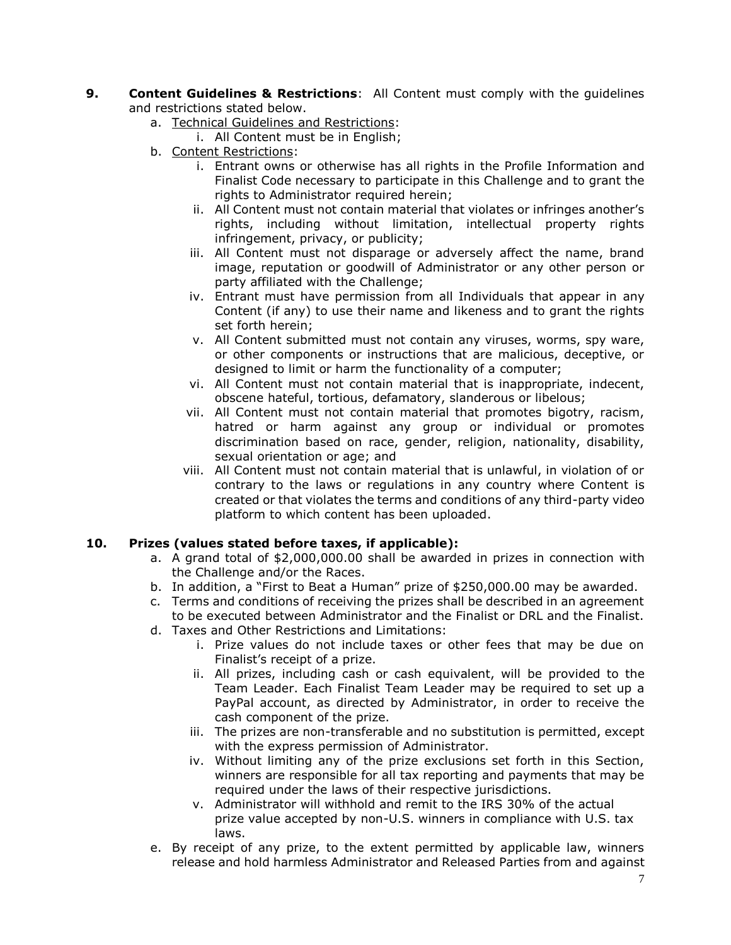- **9. Content Guidelines & Restrictions**: All Content must comply with the guidelines and restrictions stated below.
	- a. Technical Guidelines and Restrictions:
		- i. All Content must be in English;
	- b. Content Restrictions:
		- i. Entrant owns or otherwise has all rights in the Profile Information and Finalist Code necessary to participate in this Challenge and to grant the rights to Administrator required herein;
		- ii. All Content must not contain material that violates or infringes another's rights, including without limitation, intellectual property rights infringement, privacy, or publicity;
		- iii. All Content must not disparage or adversely affect the name, brand image, reputation or goodwill of Administrator or any other person or party affiliated with the Challenge;
		- iv. Entrant must have permission from all Individuals that appear in any Content (if any) to use their name and likeness and to grant the rights set forth herein;
		- v. All Content submitted must not contain any viruses, worms, spy ware, or other components or instructions that are malicious, deceptive, or designed to limit or harm the functionality of a computer;
		- vi. All Content must not contain material that is inappropriate, indecent, obscene hateful, tortious, defamatory, slanderous or libelous;
		- vii. All Content must not contain material that promotes bigotry, racism, hatred or harm against any group or individual or promotes discrimination based on race, gender, religion, nationality, disability, sexual orientation or age; and
		- viii. All Content must not contain material that is unlawful, in violation of or contrary to the laws or regulations in any country where Content is created or that violates the terms and conditions of any third-party video platform to which content has been uploaded.

## **10. Prizes (values stated before taxes, if applicable):**

- a. A grand total of \$2,000,000.00 shall be awarded in prizes in connection with the Challenge and/or the Races.
- b. In addition, a "First to Beat a Human" prize of \$250,000.00 may be awarded.
- c. Terms and conditions of receiving the prizes shall be described in an agreement to be executed between Administrator and the Finalist or DRL and the Finalist.
- d. Taxes and Other Restrictions and Limitations:
	- i. Prize values do not include taxes or other fees that may be due on Finalist's receipt of a prize.
	- ii. All prizes, including cash or cash equivalent, will be provided to the Team Leader. Each Finalist Team Leader may be required to set up a PayPal account, as directed by Administrator, in order to receive the cash component of the prize.
	- iii. The prizes are non-transferable and no substitution is permitted, except with the express permission of Administrator.
	- iv. Without limiting any of the prize exclusions set forth in this Section, winners are responsible for all tax reporting and payments that may be required under the laws of their respective jurisdictions.
	- v. Administrator will withhold and remit to the IRS 30% of the actual prize value accepted by non-U.S. winners in compliance with U.S. tax laws.
- e. By receipt of any prize, to the extent permitted by applicable law, winners release and hold harmless Administrator and Released Parties from and against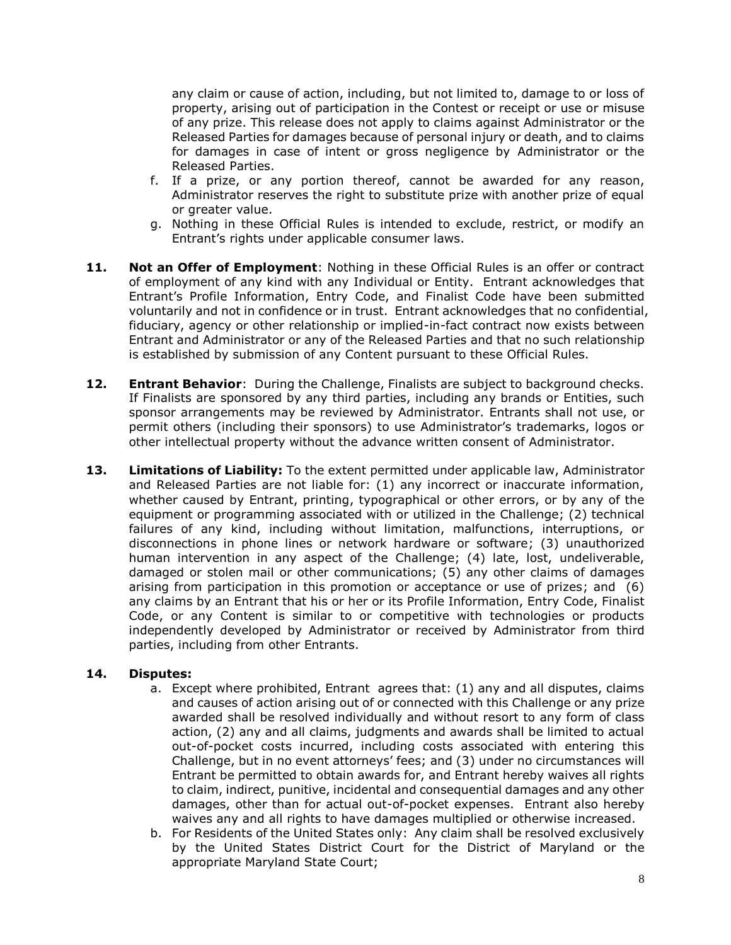any claim or cause of action, including, but not limited to, damage to or loss of property, arising out of participation in the Contest or receipt or use or misuse of any prize. This release does not apply to claims against Administrator or the Released Parties for damages because of personal injury or death, and to claims for damages in case of intent or gross negligence by Administrator or the Released Parties.

- f. If a prize, or any portion thereof, cannot be awarded for any reason, Administrator reserves the right to substitute prize with another prize of equal or greater value.
- g. Nothing in these Official Rules is intended to exclude, restrict, or modify an Entrant's rights under applicable consumer laws.
- **11. Not an Offer of Employment**: Nothing in these Official Rules is an offer or contract of employment of any kind with any Individual or Entity. Entrant acknowledges that Entrant's Profile Information, Entry Code, and Finalist Code have been submitted voluntarily and not in confidence or in trust. Entrant acknowledges that no confidential, fiduciary, agency or other relationship or implied-in-fact contract now exists between Entrant and Administrator or any of the Released Parties and that no such relationship is established by submission of any Content pursuant to these Official Rules.
- **12. Entrant Behavior**: During the Challenge, Finalists are subject to background checks. If Finalists are sponsored by any third parties, including any brands or Entities, such sponsor arrangements may be reviewed by Administrator. Entrants shall not use, or permit others (including their sponsors) to use Administrator's trademarks, logos or other intellectual property without the advance written consent of Administrator.
- **13. Limitations of Liability:** To the extent permitted under applicable law, Administrator and Released Parties are not liable for: (1) any incorrect or inaccurate information, whether caused by Entrant, printing, typographical or other errors, or by any of the equipment or programming associated with or utilized in the Challenge; (2) technical failures of any kind, including without limitation, malfunctions, interruptions, or disconnections in phone lines or network hardware or software; (3) unauthorized human intervention in any aspect of the Challenge; (4) late, lost, undeliverable, damaged or stolen mail or other communications; (5) any other claims of damages arising from participation in this promotion or acceptance or use of prizes; and (6) any claims by an Entrant that his or her or its Profile Information, Entry Code, Finalist Code, or any Content is similar to or competitive with technologies or products independently developed by Administrator or received by Administrator from third parties, including from other Entrants.

#### **14. Disputes:**

- a. Except where prohibited, Entrant agrees that: (1) any and all disputes, claims and causes of action arising out of or connected with this Challenge or any prize awarded shall be resolved individually and without resort to any form of class action, (2) any and all claims, judgments and awards shall be limited to actual out-of-pocket costs incurred, including costs associated with entering this Challenge, but in no event attorneys' fees; and (3) under no circumstances will Entrant be permitted to obtain awards for, and Entrant hereby waives all rights to claim, indirect, punitive, incidental and consequential damages and any other damages, other than for actual out-of-pocket expenses. Entrant also hereby waives any and all rights to have damages multiplied or otherwise increased.
- b. For Residents of the United States only: Any claim shall be resolved exclusively by the United States District Court for the District of Maryland or the appropriate Maryland State Court;